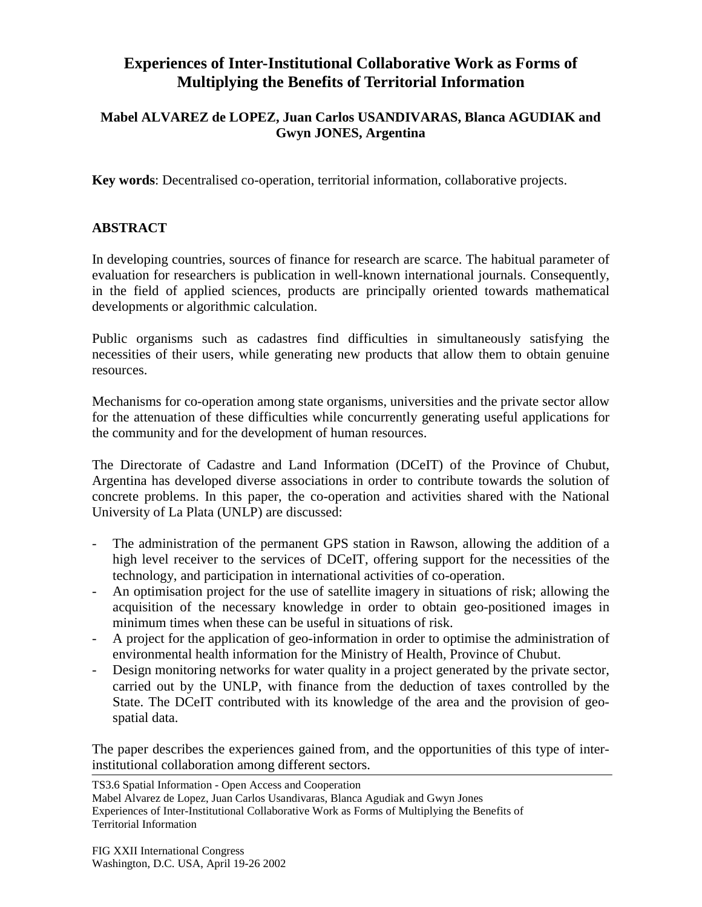## **Experiences of Inter-Institutional Collaborative Work as Forms of Multiplying the Benefits of Territorial Information**

## **Mabel ALVAREZ de LOPEZ, Juan Carlos USANDIVARAS, Blanca AGUDIAK and Gwyn JONES, Argentina**

**Key words**: Decentralised co-operation, territorial information, collaborative projects.

## **ABSTRACT**

In developing countries, sources of finance for research are scarce. The habitual parameter of evaluation for researchers is publication in well-known international journals. Consequently, in the field of applied sciences, products are principally oriented towards mathematical developments or algorithmic calculation.

Public organisms such as cadastres find difficulties in simultaneously satisfying the necessities of their users, while generating new products that allow them to obtain genuine resources.

Mechanisms for co-operation among state organisms, universities and the private sector allow for the attenuation of these difficulties while concurrently generating useful applications for the community and for the development of human resources.

The Directorate of Cadastre and Land Information (DCeIT) of the Province of Chubut, Argentina has developed diverse associations in order to contribute towards the solution of concrete problems. In this paper, the co-operation and activities shared with the National University of La Plata (UNLP) are discussed:

- The administration of the permanent GPS station in Rawson, allowing the addition of a high level receiver to the services of DCeIT, offering support for the necessities of the technology, and participation in international activities of co-operation.
- An optimisation project for the use of satellite imagery in situations of risk; allowing the acquisition of the necessary knowledge in order to obtain geo-positioned images in minimum times when these can be useful in situations of risk.
- A project for the application of geo-information in order to optimise the administration of environmental health information for the Ministry of Health, Province of Chubut.
- Design monitoring networks for water quality in a project generated by the private sector, carried out by the UNLP, with finance from the deduction of taxes controlled by the State. The DCeIT contributed with its knowledge of the area and the provision of geospatial data.

The paper describes the experiences gained from, and the opportunities of this type of interinstitutional collaboration among different sectors.

TS3.6 Spatial Information - Open Access and Cooperation

Mabel Alvarez de Lopez, Juan Carlos Usandivaras, Blanca Agudiak and Gwyn Jones Experiences of Inter-Institutional Collaborative Work as Forms of Multiplying the Benefits of Territorial Information